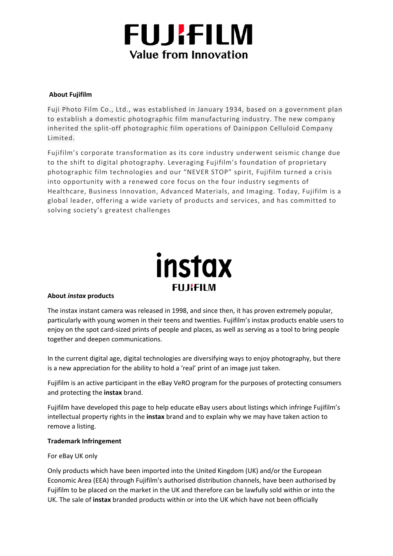# **FUJIFILM** Value from Innovation

### **About Fujifilm**

Fuji Photo Film Co., Ltd., was established in January 1934, based on a government plan to establish a domestic photographic film manufacturing industry. The new company inherited the split-off photographic film operations of Dainippon Celluloid Company Limited.

Fujifilm's corporate transformation as its core industry underwent seismic change due to the shift to digital photography. Leveraging Fujifilm's foundation of proprietary photographic film technologies and our "NEVER STOP" spirit, Fujifilm turned a crisis into opportunity with a renewed core focus on the four industry segments of Healthcare, Business Innovation, Advanced Materials, and Imaging. Today, Fujifilm is a global leader, offering a wide variety of products and services, and has committed to solving society's greatest challenges



## **About** *instax* **products**

The instax instant camera was released in 1998, and since then, it has proven extremely popular, particularly with young women in their teens and twenties. Fujifilm's instax products enable users to enjoy on the spot card-sized prints of people and places, as well as serving as a tool to bring people together and deepen communications.

In the current digital age, digital technologies are diversifying ways to enjoy photography, but there is a new appreciation for the ability to hold a 'real' print of an image just taken.

Fujifilm is an active participant in the eBay VeRO program for the purposes of protecting consumers and protecting the **instax** brand.

Fujifilm have developed this page to help educate eBay users about listings which infringe Fujifilm's intellectual property rights in the **instax** brand and to explain why we may have taken action to remove a listing.

#### **Trademark Infringement**

#### For eBay UK only

Only products which have been imported into the United Kingdom (UK) and/or the European Economic Area (EEA) through Fujifilm's authorised distribution channels, have been authorised by Fujifilm to be placed on the market in the UK and therefore can be lawfully sold within or into the UK. The sale of **instax** branded products within or into the UK which have not been officially